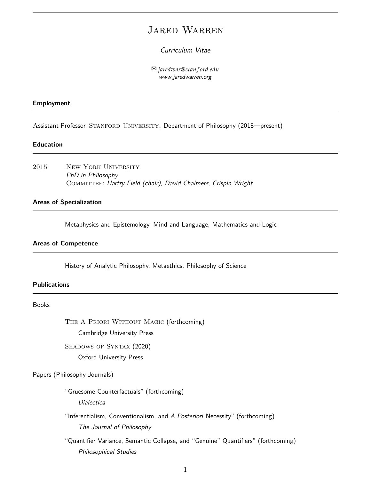# Jared Warren

# Curriculum Vitae

 *jaredwar*@*stan f ord*.*edu* www.jaredwarren.org

# **Employment**

Assistant Professor STANFORD UNIVERSITY, Department of Philosophy (2018—present)

# **Education**

2015 New York University PhD in Philosophy COMMITTEE: Hartry Field (chair), David Chalmers, Crispin Wright

#### **Areas of Specialization**

Metaphysics and Epistemology, Mind and Language, Mathematics and Logic

# **Areas of Competence**

History of Analytic Philosophy, Metaethics, Philosophy of Science

### **Publications**

# Books

THE A PRIORI WITHOUT MAGIC (forthcoming) Cambridge University Press

SHADOWS OF SYNTAX (2020)

Oxford University Press

#### Papers (Philosophy Journals)

"Gruesome Counterfactuals" (forthcoming)

Dialectica

"Inferentialism, Conventionalism, and A Posteriori Necessity" (forthcoming) The Journal of Philosophy

"Quantifier Variance, Semantic Collapse, and "Genuine" Quantifiers" (forthcoming) Philosophical Studies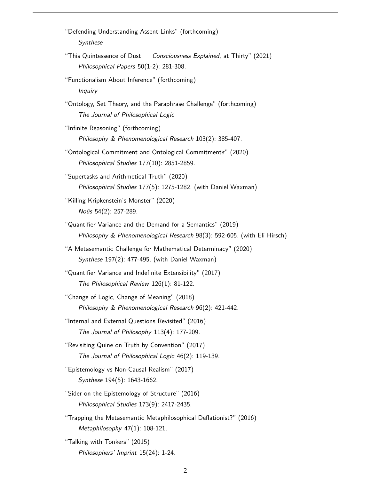"Defending Understanding-Assent Links" (forthcoming) Synthese "This Quintessence of Dust — Consciousness Explained, at Thirty" (2021) Philosophical Papers 50(1-2): 281-308. "Functionalism About Inference" (forthcoming) **Inquiry** "Ontology, Set Theory, and the Paraphrase Challenge" (forthcoming) The Journal of Philosophical Logic "Infinite Reasoning" (forthcoming) Philosophy & Phenomenological Research 103(2): 385-407. "Ontological Commitment and Ontological Commitments" (2020) Philosophical Studies 177(10): 2851-2859. "Supertasks and Arithmetical Truth" (2020) Philosophical Studies 177(5): 1275-1282. (with Daniel Waxman) "Killing Kripkenstein's Monster" (2020) Noûs 54(2): 257-289. "Quantifier Variance and the Demand for a Semantics" (2019) Philosophy & Phenomenological Research 98(3): 592-605. (with Eli Hirsch) "A Metasemantic Challenge for Mathematical Determinacy" (2020) Synthese 197(2): 477-495. (with Daniel Waxman) "Quantifier Variance and Indefinite Extensibility" (2017) The Philosophical Review 126(1): 81-122. "Change of Logic, Change of Meaning" (2018) Philosophy & Phenomenological Research 96(2): 421-442. "Internal and External Questions Revisited" (2016) The Journal of Philosophy 113(4): 177-209. "Revisiting Quine on Truth by Convention" (2017) The Journal of Philosophical Logic 46(2): 119-139. "Epistemology vs Non-Causal Realism" (2017) Synthese 194(5): 1643-1662. "Sider on the Epistemology of Structure" (2016) Philosophical Studies 173(9): 2417-2435. "Trapping the Metasemantic Metaphilosophical Deflationist?" (2016) Metaphilosophy 47(1): 108-121. "Talking with Tonkers" (2015) Philosophers' Imprint 15(24): 1-24.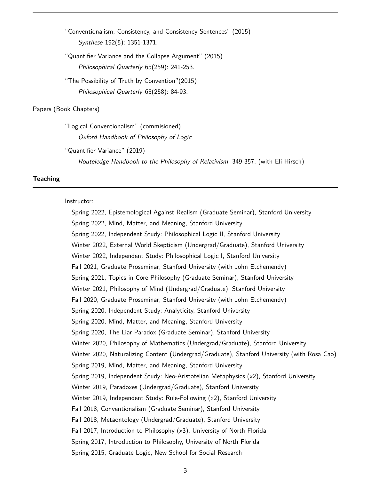"Conventionalism, Consistency, and Consistency Sentences" (2015) Synthese 192(5): 1351-1371.

"Quantifier Variance and the Collapse Argument" (2015) Philosophical Quarterly 65(259): 241-253.

"The Possibility of Truth by Convention"(2015) Philosophical Quarterly 65(258): 84-93.

#### Papers (Book Chapters)

"Logical Conventionalism" (commisioned) Oxford Handbook of Philosophy of Logic

"Quantifier Variance" (2019)

Routeledge Handbook to the Philosophy of Relativism: 349-357. (with Eli Hirsch)

#### **Teaching**

#### Instructor:

Spring 2022, Epistemological Against Realism (Graduate Seminar), Stanford University Spring 2022, Mind, Matter, and Meaning, Stanford University Spring 2022, Independent Study: Philosophical Logic II, Stanford University Winter 2022, External World Skepticism (Undergrad/Graduate), Stanford University Winter 2022, Independent Study: Philosophical Logic I, Stanford University Fall 2021, Graduate Proseminar, Stanford University (with John Etchemendy) Spring 2021, Topics in Core Philosophy (Graduate Seminar), Stanford University Winter 2021, Philosophy of Mind (Undergrad/Graduate), Stanford University Fall 2020, Graduate Proseminar, Stanford University (with John Etchemendy) Spring 2020, Independent Study: Analyticity, Stanford University Spring 2020, Mind, Matter, and Meaning, Stanford University Spring 2020, The Liar Paradox (Graduate Seminar), Stanford University Winter 2020, Philosophy of Mathematics (Undergrad/Graduate), Stanford University Winter 2020, Naturalizing Content (Undergrad/Graduate), Stanford University (with Rosa Cao) Spring 2019, Mind, Matter, and Meaning, Stanford University Spring 2019, Independent Study: Neo-Aristotelian Metaphysics (x2), Stanford University Winter 2019, Paradoxes (Undergrad/Graduate), Stanford University Winter 2019, Independent Study: Rule-Following (x2), Stanford University Fall 2018, Conventionalism (Graduate Seminar), Stanford University Fall 2018, Metaontology (Undergrad/Graduate), Stanford University Fall 2017, Introduction to Philosophy (x3), University of North Florida Spring 2017, Introduction to Philosophy, University of North Florida Spring 2015, Graduate Logic, New School for Social Research